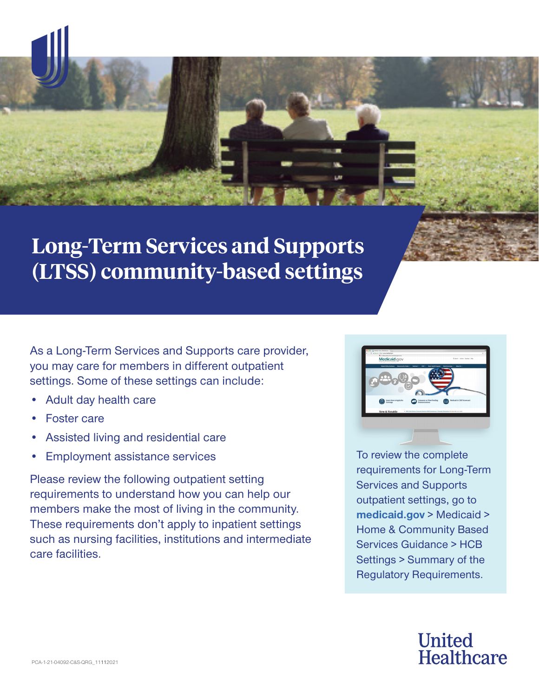

# **Long-Term Services and Supports (LTSS) community-based settings**

As a Long-Term Services and Supports care provider, you may care for members in different outpatient settings. Some of these settings can include:

- Adult day health care
- Foster care
- Assisted living and residential care
- Employment assistance services

Please review the following outpatient setting requirements to understand how you can help our members make the most of living in the community. These requirements don't apply to inpatient settings such as nursing facilities, institutions and intermediate care facilities.



To review the complete requirements for Long-Term Services and Supports outpatient settings, go to **[medicaid.gov](http://medicaid.gov)** > Medicaid > Home & Community Based Services Guidance > HCB Settings > [Summary of the](https://www.medicaid.gov/sites/default/files/2019-12/requirements-for-home-and-community-settings.pdf)  [Regulatory Requirements.](https://www.medicaid.gov/sites/default/files/2019-12/requirements-for-home-and-community-settings.pdf)